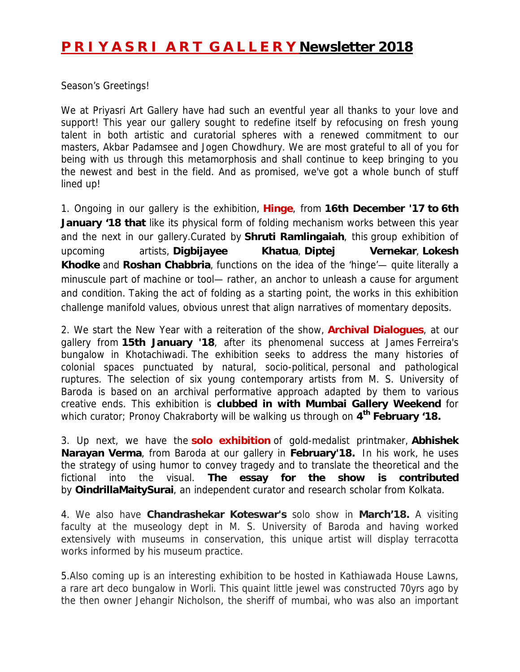## **P R I Y A S R I A R T G A L L E R Y Newsletter 2018**

Season's Greetings!

We at Priyasri Art Gallery have had such an eventful year all thanks to your love and support! This year our gallery sought to redefine itself by refocusing on fresh young talent in both artistic and curatorial spheres with a renewed commitment to our masters, Akbar Padamsee and Jogen Chowdhury. We are most grateful to all of you for being with us through this metamorphosis and shall continue to keep bringing to you the newest and best in the field. And as promised, we've got a whole bunch of stuff lined up!

1. Ongoing in our gallery is the exhibition, **Hinge**, from **16th December '17 to 6th**  January '18 that like its physical form of folding mechanism works between this year and the next in our gallery.Curated by **Shruti Ramlingaiah**, this group exhibition of upcoming artists, **Digbijayee Khatua**, **Diptej Vernekar**, **Lokesh Khodke** and **Roshan Chabbria**, functions on the idea of the 'hinge'— quite literally a minuscule part of machine or tool— rather, an anchor to unleash a cause for argument and condition. Taking the act of folding as a starting point, the works in this exhibition challenge manifold values, obvious unrest that align narratives of momentary deposits.

2. We start the New Year with a reiteration of the show, **Archival Dialogues**, at our gallery from **15th January '18**, after its phenomenal success at James Ferreira's bungalow in Khotachiwadi. The exhibition seeks to address the many histories of colonial spaces punctuated by natural, socio-political, personal and pathological ruptures. The selection of six young contemporary artists from M. S. University of Baroda is based on an archival performative approach adapted by them to various creative ends. This exhibition is **clubbed in with Mumbai Gallery Weekend** for which curator; Pronoy Chakraborty will be walking us through on **4th February '18.** 

3. Up next, we have the **solo exhibition** of gold-medalist printmaker, **Abhishek Narayan Verma**, from Baroda at our gallery in **February'18.** In his work, he uses the strategy of using humor to convey tragedy and to translate the theoretical and the fictional into the visual. **The essay for the show is contributed** by **OindrillaMaitySurai**, an independent curator and research scholar from Kolkata.

4. We also have **Chandrashekar Koteswar's** solo show in **March'18.** A visiting faculty at the museology dept in M. S. University of Baroda and having worked extensively with museums in conservation, this unique artist will display terracotta works informed by his museum practice.

5.Also coming up is an interesting exhibition to be hosted in Kathiawada House Lawns, a rare art deco bungalow in Worli. This quaint little jewel was constructed 70yrs ago by the then owner Jehangir Nicholson, the sheriff of mumbai, who was also an important